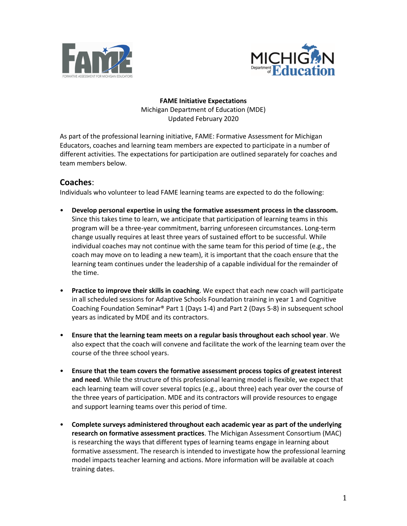



**FAME Initiative Expectations**  Michigan Department of Education (MDE) Updated February 2020

As part of the professional learning initiative, FAME: Formative Assessment for Michigan Educators, coaches and learning team members are expected to participate in a number of different activities. The expectations for participation are outlined separately for coaches and team members below.

## **Coaches**:

Individuals who volunteer to lead FAME learning teams are expected to do the following:

- **Develop personal expertise in using the formative assessment process in the classroom.** Since this takes time to learn, we anticipate that participation of learning teams in this program will be a three-year commitment, barring unforeseen circumstances. Long-term change usually requires at least three years of sustained effort to be successful. While individual coaches may not continue with the same team for this period of time (e.g., the coach may move on to leading a new team), it is important that the coach ensure that the learning team continues under the leadership of a capable individual for the remainder of the time.
- **Practice to improve their skills in coaching**. We expect that each new coach will participate in all scheduled sessions for Adaptive Schools Foundation training in year 1 and Cognitive Coaching Foundation Seminar® Part 1 (Days 1-4) and Part 2 (Days 5-8) in subsequent school years as indicated by MDE and its contractors.
- **Ensure that the learning team meets on a regular basis throughout each school year**. We also expect that the coach will convene and facilitate the work of the learning team over the course of the three school years.
- **Ensure that the team covers the formative assessment process topics of greatest interest and need**. While the structure of this professional learning model is flexible, we expect that each learning team will cover several topics (e.g., about three) each year over the course of the three years of participation. MDE and its contractors will provide resources to engage and support learning teams over this period of time.
- **Complete surveys administered throughout each academic year as part of the underlying research on formative assessment practices**. The Michigan Assessment Consortium (MAC) is researching the ways that different types of learning teams engage in learning about formative assessment. The research is intended to investigate how the professional learning model impacts teacher learning and actions. More information will be available at coach training dates.